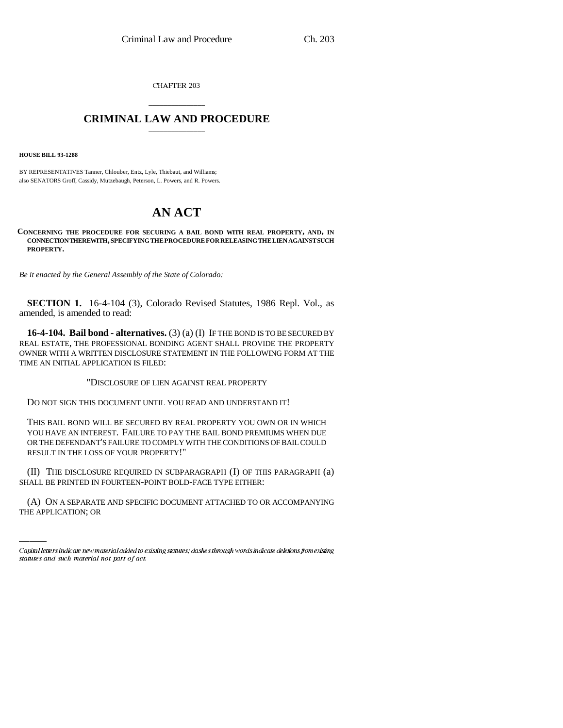CHAPTER 203

## \_\_\_\_\_\_\_\_\_\_\_\_\_\_\_ **CRIMINAL LAW AND PROCEDURE** \_\_\_\_\_\_\_\_\_\_\_\_\_\_\_

**HOUSE BILL 93-1288**

BY REPRESENTATIVES Tanner, Chlouber, Entz, Lyle, Thiebaut, and Williams; also SENATORS Groff, Cassidy, Mutzebaugh, Peterson, L. Powers, and R. Powers.

## **AN ACT**

**CONCERNING THE PROCEDURE FOR SECURING A BAIL BOND WITH REAL PROPERTY, AND, IN CONNECTION THEREWITH, SPECIFYING THE PROCEDURE FOR RELEASING THE LIEN AGAINST SUCH PROPERTY.**

*Be it enacted by the General Assembly of the State of Colorado:*

**SECTION 1.** 16-4-104 (3), Colorado Revised Statutes, 1986 Repl. Vol., as amended, is amended to read:

**16-4-104. Bail bond - alternatives.** (3) (a) (I) IF THE BOND IS TO BE SECURED BY REAL ESTATE, THE PROFESSIONAL BONDING AGENT SHALL PROVIDE THE PROPERTY OWNER WITH A WRITTEN DISCLOSURE STATEMENT IN THE FOLLOWING FORM AT THE TIME AN INITIAL APPLICATION IS FILED:

"DISCLOSURE OF LIEN AGAINST REAL PROPERTY

DO NOT SIGN THIS DOCUMENT UNTIL YOU READ AND UNDERSTAND IT!

THIS BAIL BOND WILL BE SECURED BY REAL PROPERTY YOU OWN OR IN WHICH YOU HAVE AN INTEREST. FAILURE TO PAY THE BAIL BOND PREMIUMS WHEN DUE OR THE DEFENDANT'S FAILURE TO COMPLY WITH THE CONDITIONS OF BAIL COULD RESULT IN THE LOSS OF YOUR PROPERTY!"

(II) THE DISCLOSURE REQUIRED IN SUBPARAGRAPH (I) OF THIS PARAGRAPH (a) SHALL BE PRINTED IN FOURTEEN-POINT BOLD-FACE TYPE EITHER:

(A) ON A SEPARATE AND SPECIFIC DOCUMENT ATTACHED TO OR ACCOMPANYING THE APPLICATION; OR

Capital letters indicate new material added to existing statutes; dashes through words indicate deletions from existing statutes and such material not part of act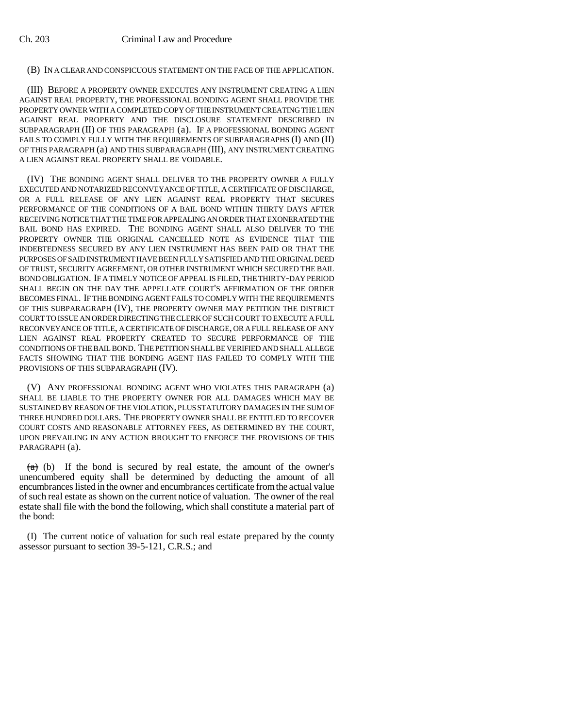## (B) IN A CLEAR AND CONSPICUOUS STATEMENT ON THE FACE OF THE APPLICATION.

(III) BEFORE A PROPERTY OWNER EXECUTES ANY INSTRUMENT CREATING A LIEN AGAINST REAL PROPERTY, THE PROFESSIONAL BONDING AGENT SHALL PROVIDE THE PROPERTY OWNER WITH A COMPLETED COPY OF THE INSTRUMENT CREATING THE LIEN AGAINST REAL PROPERTY AND THE DISCLOSURE STATEMENT DESCRIBED IN SUBPARAGRAPH (II) OF THIS PARAGRAPH (a). IF A PROFESSIONAL BONDING AGENT FAILS TO COMPLY FULLY WITH THE REQUIREMENTS OF SUBPARAGRAPHS (I) AND (II) OF THIS PARAGRAPH (a) AND THIS SUBPARAGRAPH (III), ANY INSTRUMENT CREATING A LIEN AGAINST REAL PROPERTY SHALL BE VOIDABLE.

(IV) THE BONDING AGENT SHALL DELIVER TO THE PROPERTY OWNER A FULLY EXECUTED AND NOTARIZED RECONVEYANCE OF TITLE, A CERTIFICATE OF DISCHARGE, OR A FULL RELEASE OF ANY LIEN AGAINST REAL PROPERTY THAT SECURES PERFORMANCE OF THE CONDITIONS OF A BAIL BOND WITHIN THIRTY DAYS AFTER RECEIVING NOTICE THAT THE TIME FOR APPEALING AN ORDER THAT EXONERATED THE BAIL BOND HAS EXPIRED. THE BONDING AGENT SHALL ALSO DELIVER TO THE PROPERTY OWNER THE ORIGINAL CANCELLED NOTE AS EVIDENCE THAT THE INDEBTEDNESS SECURED BY ANY LIEN INSTRUMENT HAS BEEN PAID OR THAT THE PURPOSES OF SAID INSTRUMENT HAVE BEEN FULLY SATISFIED AND THE ORIGINAL DEED OF TRUST, SECURITY AGREEMENT, OR OTHER INSTRUMENT WHICH SECURED THE BAIL BOND OBLIGATION. IF A TIMELY NOTICE OF APPEAL IS FILED, THE THIRTY-DAY PERIOD SHALL BEGIN ON THE DAY THE APPELLATE COURT'S AFFIRMATION OF THE ORDER BECOMES FINAL. IF THE BONDING AGENT FAILS TO COMPLY WITH THE REQUIREMENTS OF THIS SUBPARAGRAPH (IV), THE PROPERTY OWNER MAY PETITION THE DISTRICT COURT TO ISSUE AN ORDER DIRECTING THE CLERK OF SUCH COURT TO EXECUTE A FULL RECONVEYANCE OF TITLE, A CERTIFICATE OF DISCHARGE, OR A FULL RELEASE OF ANY LIEN AGAINST REAL PROPERTY CREATED TO SECURE PERFORMANCE OF THE CONDITIONS OF THE BAIL BOND. THE PETITION SHALL BE VERIFIED AND SHALL ALLEGE FACTS SHOWING THAT THE BONDING AGENT HAS FAILED TO COMPLY WITH THE PROVISIONS OF THIS SUBPARAGRAPH (IV).

(V) ANY PROFESSIONAL BONDING AGENT WHO VIOLATES THIS PARAGRAPH (a) SHALL BE LIABLE TO THE PROPERTY OWNER FOR ALL DAMAGES WHICH MAY BE SUSTAINED BY REASON OF THE VIOLATION, PLUS STATUTORY DAMAGES IN THE SUM OF THREE HUNDRED DOLLARS. THE PROPERTY OWNER SHALL BE ENTITLED TO RECOVER COURT COSTS AND REASONABLE ATTORNEY FEES, AS DETERMINED BY THE COURT, UPON PREVAILING IN ANY ACTION BROUGHT TO ENFORCE THE PROVISIONS OF THIS PARAGRAPH (a).

 $(a)$  (b) If the bond is secured by real estate, the amount of the owner's unencumbered equity shall be determined by deducting the amount of all encumbrances listed in the owner and encumbrances certificate from the actual value of such real estate as shown on the current notice of valuation. The owner of the real estate shall file with the bond the following, which shall constitute a material part of the bond:

(I) The current notice of valuation for such real estate prepared by the county assessor pursuant to section 39-5-121, C.R.S.; and